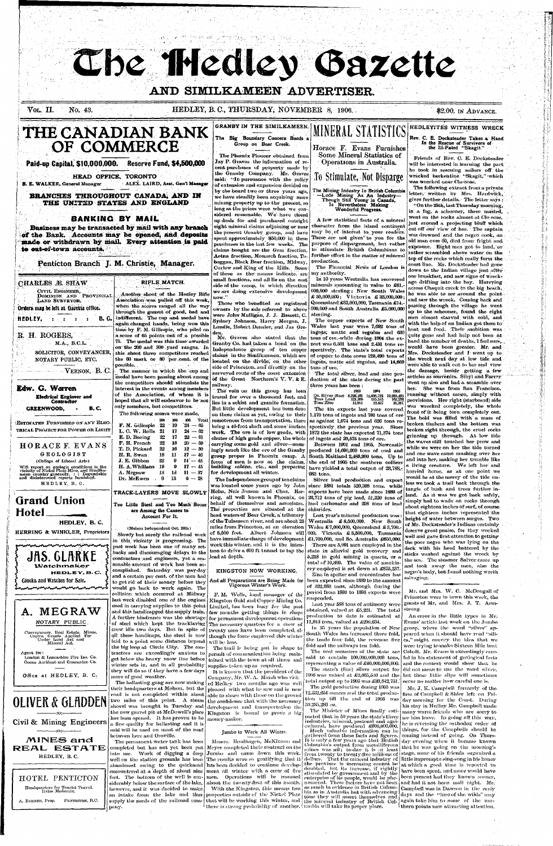# The Hedley Bazette

# **AND SIMILKAMEEN ADVERTISER.**

# VOL. **II.** 'No. 43. HEDLEY, B. C, THURSDAY, NOVEMBER 8, 1906. \$2.00, IN ADVANCE.

GRANBY IN THE SIMILKAMEEN.

# **THE CANADIAN BANK OF COMMERCE**

# **Paid-up Capital, \$10,000,000. Reserve Fund, \$4,500,000**

**HEAD OFFICE. TORONTO B. E. WALKER, General Manager**  ALEX. LAIRD, Asst. **Gen'l Manager** 

#### CIVIL ENGINEER, DOMINION AND PROVINCIAL LAND SURVEYOR. **Orders may** be left at Gazette office.

**BRANCHES THROUGHOUT CANADA, AND IN THE UNITED STATES AND ENGLAND** 

# **BANKING BY MAIL**

**Business may be transacted by mail with any branch of the Bank. Accounts may be opened, and deposits made or withdrawn by mail. Every attention is paid to out-of-town accounts.** 

**Penticton Branch J. M. Christie, Manager.** 

### CHARLES *M.* SHAW

Another shoot of the Hedley Rifle Association was pulled off this week, when the scores ranged all the way through the gamut of good, bad and indifferent. The cup and medal have again changed hands, being won this time by F. M. Gillespie, who piled on a score of 65 points, out of a possible 75. The medal was this time awarded on the 200 and 300 .yard ranges. In this shoot three competitors reached the 60 mark or 80 per cent, of the possible.

The manner in which the cup and medal have been passing about among the competitors should stimulate the interest in the events among members of the Association, of whom it is hoped that all will endeavor to be not only members, but competitors.

The following scores were made.

**tlEDLEY, : : : : B.C.** 

# **RIFLE MATCH.**

# R. H. ROGERS,

M.A., B.C.L. SOLICITOR, CONVEYANCER, NOTARY PUBLIC, ETC.

VERNON, B. C.

### **Edw. G. Warren Electrical Engineer and Contractor GREENWOOD, B.C.**

ESTIMATES FURNISHED ON ANY ELEC-TRICAL PROJECT FOR POWER OR LIGHT

|                       | 200 | 300  | $-400$    | Tot |
|-----------------------|-----|------|-----------|-----|
| F. M. Gillespie 22 19 |     |      | $24 - 65$ |     |
| L. C. W. Rolls 21     |     | - 17 | $24 - 62$ |     |
| E. D. Boeing          | 22  | 17.  | $22 - 61$ |     |
| F. H. French          | 22  | 18.  | $20 - 59$ |     |
|                       |     |      |           |     |

16 11 9 9 13 13  $12 - 50$ **17** — 46 **14** — 45  $17 - 45$ **11** — 37  $6 - 28$ 

Total '24 *—* 65  $62$ 22—61

| HORACE F. EVANS<br>GEOLOGIST<br>(College of Liberal Arts)<br>Will report on geologic conditions in the<br>vicinity of Nickel Plate Mine, and Similka-<br>meen country generally, : : Dopendable<br>and disinterested reports furnished.<br>HEDLEY, B.C. | 22<br>F. H. French<br>22<br>T. D. Pickard<br>18<br>H. R. Swan<br>$22\,$<br>J. E. Gibbon<br>19<br>H. A. Whillans<br>13<br>A. Megraw<br>Dr. McEwen<br>-9 |  |  |
|---------------------------------------------------------------------------------------------------------------------------------------------------------------------------------------------------------------------------------------------------------|--------------------------------------------------------------------------------------------------------------------------------------------------------|--|--|
| <b>Grand Union</b><br>Hotel                                                                                                                                                                                                                             | TRACK-LAYERS MOY<br>Too Little Steel and To<br>are Among the Ca<br>Account For                                                                         |  |  |
| HEDLEY, B.C.<br>HERRING & WINKLER, Proprietors                                                                                                                                                                                                          | (Molson Independent)<br>Clambe hat smalle the                                                                                                          |  |  |



The permanent water tank has been completed but has not yet been put into use. Work of digging a deep siderably below the surface of the lake, however, and it was decided to make pany.

**RACK-LAYERS MOVE SLOWLY** 

oo Much Booze auses to It.

Oct. 26th) Slowly but surely the railroad work in this'vicinity is progressing. The past week has been one of many setbacks and discouraging delays to the contractors and engineers, yet a reasonable amount of work has been accomplished. Saturday was pay-day and a certain per cent, of the men hadto get rid of their money before they would go back to work again. The collision which occurred at Midway last week disabled one of the engines

laid to a point some distance beyond  $\frac{1}{10}$  will be less. the big loop at Circle City. The contractors are exceedingly anxious to get below the heavy snow line before winter sets in, and in all probability they will do so if they have a few days more of good weather.

has been opened. It has proven to be  $\vert$  money-maker. a fine quality for ballasting and it is said will be used on most of the road between here and Oroville.



Office at HEDLEY, B.  $C_1$ .

# OLIVER & GLADDEN

**-:o-.-** Civil & Mining Engineers **-:0:-**

MINES *eindi*  RBAL> ESTATE HEDLEY, B. C.

# HOTEL PENTICTON Headquarters for Tourist Travel, llatcs Moderate.

A. BARNES, Prop. PENTIGTON, B.C.

Those who benefited as registered owners by the sale referred to above were John Mulligan, J. J. Bassett, C. Sydney Johnson, Harry Morgan, J. Lundie, Robert Densler, and Jas Greden.

Mr. Graves also stated that the Granby Co. had taken a bond on the Independence group ,of ten copper claims in the Similkameen, which are located on the divide, on the other side of Princeton, and directly on the surveyed route of the coast extension of the Great Northern's V. V. & E. raihvay.

The vein on this group has been traced for over a thousand feet, and lies in a schist and granite formation. But little development has been done on these claims as yet, owing to their 1,170 tons of ingots and 786 tons of ore remoteness from transportation, there being a 40-foot shaft and some surface work. The ore is of low grade, with  $1872$  the state has exported 71,374 tons chutes of high grade copper, the whole  $\int$  of ingots and 20,575 tons of ore. carrying some gold and silver—seemingly much like the ore of the Granby group proper in Phoenix camp. A force of men is now at the claims, building cabins, etc., and preparing for development all winter. The Independence group of ten claims Avas located some years ago by John Holm, Nels Jonson and Chas. Herring, all well known in Phoenix, on behalf of themselves and associates. The properties are situated at the  $\mid$ head waters of Bear Creek, a tributary of the Tulameen river, and are about  $25\,$ miles from Princeton, at an elevation of 5,500 feet. Albert Johnson will have immediate charge of development work this winter, and it is the intention to drive a 600 ft tunnel to tap the lead at depth.

The Big Boundary Concern Bonds a Group on Bear Creek. MINERAL STATISTICS

Rev. C. E. Docksteader Takes a Hand **In the** Rescue of Survivors of the Ill-Fated "Skagit. "

HEDLEYITES WITNESS WRECK

character from the island contingnt may be of interest to your readers. A few statistical facts of a mineral These are not given to you for the purpose of dispargement, but rather to stimulate British Columbians to further effort in the matter of mineral production.

The Financial News of London is

In 10 years Westralia has recovered minerals amounting in value to £61,- 000,000 sterling; New South Wales £ 50,000,000; Victoria £ 33,000,000; Queensland  $\pounds 32,000,000$ , Tasmania £14,-000,000 and South Australia £5.000,000 sterling.

The copper exports of New South Wales last year were 7,692 tons of ingots, matte and regulus and 630 tons of ore. while during-1904-the export was 6.501 tons and 2.431 tons respectively. The state's total exports of copper to date cover 129,490 tons of ingots, matte and regulus, and 14,669 tons of ore.

-The total silver, lead and zinc production of the state during the past three years has been :

used in carrying supplies to this point Limited, has been busy for the past and this handicapped the supply train.  $\begin{bmatrix} \text{few} \text{ months} \text{ getting things in shape} \end{bmatrix}$ A further hindrance was the shortage for permanent development operations  $\left| \frac{1}{2} \right|$ of steel which kept the tracklaving  $\eta_{\rm{re}}$  necessary quarters for a crew of crew idle two days. But in spite of  $\mathfrak{f}$  twenty men have been completed, al- $\mathfrak{f}$  $\frac{1}{2}$  these handicaps, the steel is now though the force employed this winter F. M. Wells, local manager of the Kingston Gold and Copper Mining Co.

The trail is being put in shape to permit of communication being maintained with the town at all times and supplies taken up as required.

The ballasting gang are now making  $\vert$  ed Hedley - two-months ago-was well It is known that the president of the Company, Mr. YV. A. Marsh who visit

their headquarters at Molson, but the  $\vert$  pleased -with what he saw and is -now road is not completed within about able to share with those on the ground two miles of this point. A steam the confidence that with the necessary shovel was brought in Tuesday and development, and transportation the the new gravel pit at McDowell's place Kingston is bound to prove a big

The Phoenix Pioneer obtained from Jay P. Graves the information of recent purchases of property made by the Granby Company. Mr. Graves said: "In pursuance with the policy of extension and expansion decided on by the board two or three years ago, we have steadily been acquiring more mining property up to the present, so long as the prices were what we considered reasonable. We have closed up deals for and purchased outright eight mineral claims adjoining or near the present Granby group, and have spent approximately \$50,000 in these purchases in the last few weeks. The claims bought are the Gem fraction. Aetna fraction, Monarch fraction, Toboggan, Black Bear fraction, Midway, Curlew and King of the Hills. Some  $\frac{1}{100}$  and  $\frac{1}{100}$  of the  $\frac{1}{100}$  and  $\frac{1}{100}$  and  $\frac{1}{100}$  and  $\frac{1}{100}$  and  $\frac{1}{100}$  and  $\frac{1}{100}$  and  $\frac{1}{100}$  and  $\frac{1}{100}$  and  $\frac{1}{100}$  and  $\frac{1}{100}$  and  $\frac{1}{100}$  and  $\frac{1}{100}$ small fractions, and all lie on the east side of the camp, in which direction we are doing extensive development uow. "

> Silver lead production and export since 1881 totals 520,398 tons. while exports have been made since 1889 of 26,712 tons of pig lead, 51,220 tons of lead carbonates and 298 tons of lead chlorides.

> Last year's mineral production was Westralia  $\pounds 8,500,000$ , New South Wales  $\pounds 7,000,000$ , Queensland  $\pounds 3,700$ . 000, Victoria £ 3,500,000, Tasmania £1,700,000, and So. Australia £650,0001 There are  $5,091$  men employed in the state in alluvial gold recovery and 5,218 in gold mining in quartz, or a total of 10,309. The value of machinery employed is set down at  $\pmb{\pounds}875,\pmb{257}.$ Zinc in spelter and concentrates has

been exported since 1889 to the amount of 322,683 tons, although during the period from 1893 to 1896 exports were suspended.

Last year 588 tons of antimony were obtained, valued at  $\pounds_{2,2}$  . The total production to date is estimated at 11,913 tons, valued at £200,634.

In 35 years the population of New fold and the railways ten fold.

The coal measures of the state are said to contain 100,000,000,000 tons, representing a value of £40,000,000,000. The state's (fine) silver output for 1906 was valued at  $\pounds 2,065,540$  and the  $total$  output up to  $1905$  was  $\pounds 39,842,751.$ The gold production during 1905 was 12,532,651. ounces and the total production up till the end of 1905 was 53.235,286 *or..* 

With the Kingston, this means two as much in evidence in British Colum-The Minister of Mines finally estimated that in  $50$  years the state's three industries, mineral, pastoral and agricultural, have produced £900,000,000. Much valuable information can be gathered from these facts and figures. Columbia's output from metalliferous Uommola's output from metalliterous<br>mines was nil; |to-day||it is at least from twenty to twenty-five millions of the province is increasing cannot be<br>doubted, but its increase, if rightly doubted, but its increase, if rightly<br>stimulated by government and by the bia as in Australia but with advancing

Friends of Rev. C. E. Docksteader will be interested in learning the part he took in rescuing sailors off the wrecked barkentine "Skagit,"-which was wrecked near Clo-oose.

The following extract from a private letter, written by Mrs. Hardwick, gives further details. The letter says : "On the 25th, last Thursday morning, in a fog, a schooner, three masted, went on the rocks almost at  $C$ lo oose, just around a projecting bluff which cut off our view of her. The captain was drowned and the negro cook, an old man over 60, died from fright and exposure. Eight men got to land, or rather scrambled above water on the top of the rocks which really form the coast line. Mr. Docksteader had gone down to the Indian village just after our breakfast, and saw signs of wreckage drifting into the bay. Hurrying across Chaquit creek to the big beach, he was able to see around the point and saw the wreck. Coming back and passing through the village he went up to the schooner, found the eight men almost starved with cold, and with the help of an Indian got them to  $h$  and  $f$  and  $f$  and  $h$  and  $f$  and  $h$  and  $g$  and  $h$  are  $g$ quite gone and had help not been at hand the number of deaths, I feel sure, would have been greater. Mr. and Mrs. Docksteader and I went up to the wreck next day at low tide and me were able to walk out to her and view<br>the damage, beside getting a few articles as souvenirs. Sibyl and Farrar went up also and had a scramble over<br>her. She was from San Francisco, running without cargo, simply with provisions. Her right (starboard) side provisions. Her right startoontu, side was wrecked completely, one whole front of it being torn completely out. The hold was filled with a mass of broken timbers and the bottom was broken right through, the cruel rocks grinning up through. At low tide the waves still touched her prow and while we were on her the tide turned and one wave came crashing over her and into her, making her tremble like a living creature. We left her and hurried home, as at one point we would be at the mercy of the tide unless we took a trail back through the tangle of bush and trees further inland. As it was we got back safely, simply had to wade on rocks through about eighteen inches of surf, of course that eighteen inches represented the height of water between surges. Two of Mr. Docksteader's Indians certainly deserve great praise, for they worked well and gave first attention to getting the poor negro who was lying on the deck with his head battered by the sticks washed against the wreck by the sea. The steamer Salvor came up and took away the men, also the negro's body, but found nothing worth salvaging.

Horace; F. Evans Furnishes Some Mineral Statistics of Operations in Australia.

# To Stimulate, Not Disparge

The Mining Industry In British Columbia —Lode Mining As An Industry— Though Still Young- in Canada, Is Nevertheless **Making**  Wonderful Progress.

> Mr. and Mrs. W. C. McDougall of Princeton were in town this week, the guests of Mr, and Mrs. J. T. Armstrong.

South Wales has increased three fold,  $\mid$  peared when it should have read "silithe trade four fold, the revenue five  $[\mathbf{c}\mathbf{a},]$  might convey the idea that we An error in the little types in Mr. Evans' article last week on the Jumbo group, where the word "silver" anwere trying to make Sixteen Mile beat Cobalt. Mr. Evans is exceedingly careful in his statement of geological facts and the context would show that he did not mean to use the word silver, but these little slips will sometimes occur no matter how careful one is.

> Mr. J. K. Campbell formerly of the. firm of Campbell & Shier left on Friday' morning for the Coast. During his stay in Hedley Mr. Campbell made many warm friends who are sorry to

It is only a few years ago that British  $\left|\frac{1}{1 + \alpha}\right|$  day evening when it became known  $t$  as in Australia but with allvalicing  $|$  days and the "lure of the wilds" may time they will assert themselves and  $|$  days and the "lure of the wilds" may see him leave. In going off this way, he is reversing the orthodox order of things, for the Campbells should be coming instead of going. On Thursthat he was going on the morning's stage, some of his friends organized a at which a good time is reported to have been spent, and more would have been present had they known sooner, Campbell was in Dawson in the early again take him to some of the northern points now attracting attention.

### KINGSTON NOW WORKING.

#### And all Preparations are Being Made for Vigorous Winter's Work.

1903 1904 1905 Oz. Silycr.(nnc) 8,226,'201 10,696.725 10,285,495 Tons Lead<br>Tons Zinc 121,999 11,911 165,545 22.617 162,226 31,181 The tin exports last year covered as against 1,074 tons and 626 tons re-

spectively the previous year. Since

. •—•«.CP» "

#### Jumbo to Work All Winter.

well on the station grounds has been The results were so gratifying that it dollars. That the mineral industry of little impromptu sing-song in his honor well on the station grounds has been The results were so-grathlying that it dollars. That the mineral industry of<br>abandoned owing to the quicksand has been decided to continue develop- doubted but its increasing straight.  $\frac{1}{2}$  about the state of about nine  $\frac{1}{2}$  ment all winter with a crew of five  $f$ enterprise the  $\alpha$  density of the Well is con-<br>the  $\alpha$  and  $\alpha$  is con-<br>teet. The bottom of the well is con-<br>men. Operations will be resumed enterprise of its people, would be phean intake from the lake and thus properties outside of the Nickel Plate  $\,$ supply the needs of the railroad com-<br>supply the needs of the railroad com-<br>that will be working this winter, and the mineral industry of British Col-Messrs. Brodhagen, McKinnon and Meyer completed their contract on the Jumbo and came down this week. about the twenty-first of this month. | nomenal. These factors have not been and had it not been mail night. Mr. there is strong probability of another. (unbia will take its proper place.

Between 1901 and 1905, Newcastle produced 14,690,909 tons of coal and South Maitland 2,489,990 tons. Up to the end of 1905 the southern colliers have yielded a total output of 23.78S,- 983 tons.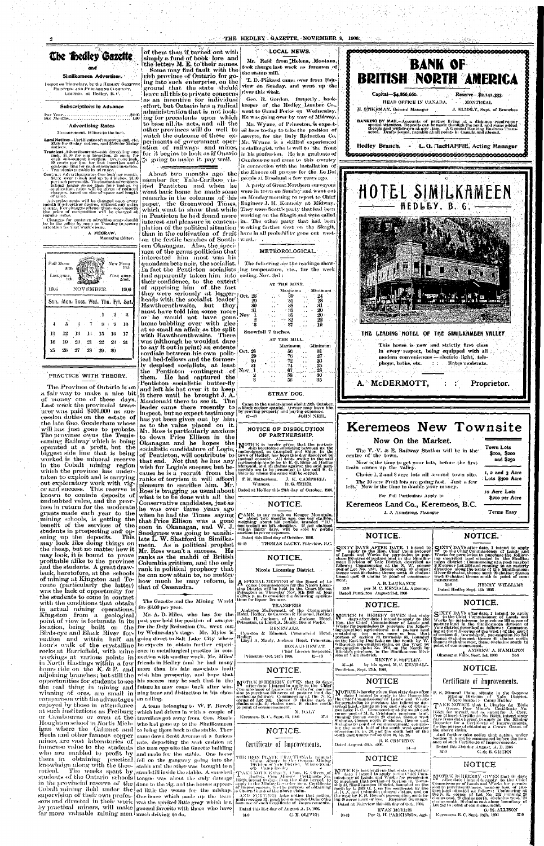#### THE HEDLEY GAZETTE, NOVEMBER 8, 1906.



#### Similkameen Advertiser.

Issued on Thursdays, by the HEDLEY GAZETTE Ригуттую АКО. РИЗБЕВНІКО СОМРАКУ. LIMITED. at Hedley, B. C.

#### **Subscriptions in Advance**

# 

#### **Advertising Rates**

#### Measurement, 12 lines to the inch.

Land Notices--Certificates of ingovernent, etc. \$7.09 for 00-day notices, and \$5.00 for 30-day

Transient Advertisements-not exceeding one meh, \$1.00 for one insertion. 25 conting one<br>cach subsequent insertion. 25 conting for<br>each subsequent insertion. Over one inch,<br>10 cents per line for that is restricted and 5<br>cents per line for each subsequent insertion.<br>

Contract Advertisements- (me inch per month, Slush over the and up to their per month,<br>Slush over this had up to 4 inches, \$1.00<br>per inch per month. To constant advertisers<br>taking darger space than four inches, on<br>application, rates will be given of reduced<br>charges, of time.

Advertisements will be changed once every month if advertiser desires, without any extra<br>charge. For changes oftener than once a month che price of composition will be charged at<br>regular rates.

Changes for contract advertisements should<br>be in the office by noon on Tuesday to secure<br>attention for that week's issue.

A MEGRAW, Managing Editor. ្នា÷

|       | Full Moon<br>30th<br>Last quar <sub>t</sub><br>9th. |     |           |      |     | New Moon<br>16th<br>First quar.<br>22nd. |
|-------|-----------------------------------------------------|-----|-----------|------|-----|------------------------------------------|
| 1905. |                                                     |     | NOVEMBER. |      |     | 1906                                     |
|       | Sun. Mon. Tucs. Wed. Thu. Fri. Sat.                 |     |           |      |     |                                          |
|       |                                                     |     |           | -1   | 2   | -3.                                      |
| 4     | 1 C.<br>5                                           | 6   |           | S    | -9  | 10                                       |
| 11    | 12                                                  | 13  | $1 +$     | -15  | -16 | 17                                       |
|       | 19                                                  | 20. | 21        | - 22 | 23. | -24                                      |
| 18    |                                                     |     |           |      |     |                                          |

#### PRACTICE WITH THEORY.

The Province of Ontario is on a fair way to make a nice bit it there until he brought J.A. of money one of these days, Macdonald there to see it. The Last week the provincial treasurer was paid \$600,000 as succession duties on the estate of the late Geo. Gooderham whose will has just gone to probate. Mr. Ross is particularly anxious The province owns the Temis-The province owns the temms to down Frice Emison in the properties is hereby given that the partner operated at a profit, but the socialistic candidature of Logie; shape between us the biggest side line that is being of P taken to exploit and is carrying out exploratory work with vigor and success. This reserve is known to contain deposits of undoubted value, and the province in return for the moderate grants made each year to the mining schools, is getting the benefit of the services of the students in prospecting and opening up the deposits. This may look like doing things on the cheap, but no matter how it may look, it is bound to prove profitable alike to the province and the students. A great drawback, heretofore, at the schools of mining at Kingston and Toronto (particularly the latter) was the lack of opportunity for the students to come in contact with the conditions that obtain in actual mining operations. Kingston from a geological point of view is fortunate in its hour's walk of the crystalline adjoining branches; but still the comparison with the advantages en calling. enjoyed by those in attendance Hecla and other famous copper far more valuable mining men much driving to do.

of them than if turned out with simply a fund of book lore and the letters M. E. to their names. Some may find fault with the rich province of Ontario for going into such enterprise, on the ground that the state should leave all this to private concerns as an incentive for individual

going to make it pay well.

About two months ago the member for Yale-Cariboo visited Penticton and when he paper, the Greenwood Times,

on the fertile benches of South- ward. ern Okanagan. Also, the specimen of the genus politician that interested him most was his quondam bete noir, the socialist. The following are the readings show-In fact the Penticton socialists ing temperature, etc., for the week had apparently taken him into ending Nov. 3rd: their confidence, to the extent!

of apprising him of the fact they were seriously at  $logger_{\frac{1}{2}}$  oct. 28 heads with the socialist leader' Hawthornthwaite, but they must have told him some more Nov. or he would not have gone home bubbling over with glee at so small an affair as the split with Hawthornthwaite. There was (althongh he wouldnt dare to say it out in print) an entente cordiale between his own politieal bed-fellows and the formerly despised socialists, at least the Penticton contingent of Nov 1 them. He had captured the Penticton socialistic butter-fly and left his hat over it to keep leader came there recently to  $\left| \text{inspect, but no expert testimony} \right|$ has yet been given out by him as to the value placed on it. to down Price Ellison in the

#### LOCAL NEWS.

Mr. Reid from Helena, Montana, took charge last week as foreman of  $\,$ the stamp mill.

T. D. Pickard came over from Fairview on Sunday, and went up the river this week.

Geo. R. Gordon, formerly, bookeffort, but Ontario has a radical | keeper  $\,$  of , the Hedley Lumber Co., administration that is not look- went to Grand Forks on Wednesday. ing for precedents upon which | He was going over by way of Midway. to base all its nets, and all the Mr. Wynne, of Princeton, is expectother provinces will do well to at here to day to take the position of watch the outcome of these ex- assayer, for the Daly Reduction Co. periments of government oper- Mr. Wynne is a skillful experienced ation of railways and mines, metallargist, who is well to the front for it begins to look as if Onario in his profession. He is a graduate of Cambourne and came to this country in connection with the installation of the Emore oil process for the Le Roi $\}$ people at Rossland a few years ago.

A party of Great Northern surveyors went back home he made some were in town on Sunday and went out remarks in the columns of his on Monday morning to report to Chief Engineer J. H. Kennedy at Midway. which went to show that while They were Scott's party that had been in Penticton he had found more working on the Skagit and were called interest and pleasure in contem- in. The other party that had been plation of the political situation working farther west on the Skagit, than in the cultivation of fruit have in all probability gone out west-

METEOROLOGICAL.

#### AT THE MINE. Maximum Minimum 39.  $\mathcal{L}_{\mathcal{L}}$  $\frac{28}{31}$ 51. -88  $20$ - 85 -35 20  $22$  $-32$ 19

Snowfall 7 inches.

30)

3

AT THE MILL. Maximum **Minimum** 

27

 $\overline{20}$ 

 $\bar{2}5$ 

28

30

STRAY DOG.

Came to the undersigned about 2<sup>2</sup>th October, a black cocker spaniel. Owner may have him<br>by proving property and paying expenses. **JOHN NEIL.**  $42 - 45$ 

#### NOTICE OF DISSOLUTION OF PARTNERSHIP.

T. H. Rotherham, J. K. CAMPBELL Witness, IUG. SHIER Ross is bragging as usual about Dated at Hedley this 20th day of October. 1906.



ranks of toryism it will afford pleasure to sacrifice him. Mr. what is to be done with all the Conservative candidates, just as he was over three years ago when he had the Times saying CAME to my ranch on Kruger Monntain,<br>that Price Ellison was a gone weighing about 950 pounds, branded "IC"<br>coon in Okanagan, and W. J. (connected) on left shoulder. If not claimed<br>Snodgrass was late L. W. Shatford in Similkameen. As a political prophet  $42-45$ Mr. Ross wasn't a success. He ranks as the mahdi of British Columbia grittism, and the only rank in political prophecy that he can now attain to, no matter how much he may reform, is that of Cassandra.

The Gazette and the Mining World for \$3.00 per year.

Mr. A. D. Miles, who has for the past year held the position of assayer location, being bailt on the for the Daly Reduction Co., went out<br>Birds-eye and Black River for- by Wednesday's stage. Mr. Myles is mation and within half an going direct to Salt Lake City where he expects to obtain further experirocks at Barriefield, with mine ence in metallurgical practice in conworkings at various points in nection with smelter work. Mr. Miles' in North Hastings within a few friends in Hedley (and he had many hours ride on the K. & P. and more than his late associates had) wish him prosperity, and hope that opportunities for students to see | his success may be such that in the the real thing in mining and future he may come back after winwinning of ores, are small in  $\lfloor$  ning fame and distinction in his chos-

A team belonging to W. F. Revely at such institutions as Freiburg which had driven in with a couple of or Cambourne or even at the travellers got away from Geo. Steele Houghton school in North Mich- who had gone up to the Similkameen igan where the Calumet and to bring them back to the stable. They came down Scott Avenue at a furious mines, are vast laboratories of rate, depositing the seat cushion at inuncuse value to the students the turn opposite the Gazette building who are enabled to profit by and made for the stable. One horse them in obtaining practical fell on the gangway going into the knowledge along with the theo- stable and the other was brought to a retical. The weeks spent by standstill inside the stable. A smashed students of the Ontario schools tongue was about the only damage in the provincial reserve of the done to the rig, and the horses appear-Cobalt mining field under the ed little the worse for the mishap. supervision of their own profes- one horse which made up the team sors and directed in their work was the spirited little gray which is a by practical miners, will make general favorite with those who have

# NOTICE.

Dated this 22nd day of October, 1906.

THOMAS LACEY, Fairview, B.C.

# NOTICE.

#### Nicola Licensing District.

A SPECIAL MEETING of the Board of Li-

TRANSFERS

Ambrose McDermott, of the Commercial<br>Hotel, Hedley, to Cawston & Edmond, Hedley, John H. Jackson, of the Jackson Hotel,<br>Princeton, to Lloyd A. Manly, Grand Forks. RENEWALS.

Cawston & Edmond, Commercial Hotel, Hedley, L. Manly, Jackson Hotel, Princeton, Lloyd A, Manly, Jackson Hotel, Princeton,

NOTICE IS HERBIY GIVEN that sixty<br>
NOTICE IS HERBIY GIVEN that sixty<br>
duys after date I intend to apply to the<br>
Hon, the Chief Commissioner of Lands and<br>
Works for permission to purchase the follow-<br>
ing described agricult RONALD HEWAT. Chief Licence Inspector. Princeton Oct. 24th 1906.  $42 - 43$ 

### NOTICE.

**NOTICE IS HEREBY GIVEN** that 60 days<br>Commissioner of Lands and Works for permission to pure<br>sion to purefuse 160 geres of pasture hand, desuch that parameters are allows: Commencing at the N. E.<br>corner of Lot 202, thence 40 chains east, 40<br>chains south, 40 chains west, 40 chains north<br>to point of commencement. The Chief Commissioner of Linux and Works<br>orbed land, situate on the east side of Okana-<br>gan Lake B. C. Commencing at the south east<br>corner post of M. L. Crichton's purchase land,<br>tumbig thence south 20 chains, thence west M. DALY

Keremeos B. C., Sept. 15, 1906

### NOTICE.

Certificate of Improvements.

THE IRON PLATE FRACTIONAL mineral Claim, situate in the Osovois Mining<br>Division of Yate District, Where locat-

edg - Camp Healey early Camp Heatry<br>
TAKE NOTICE that 1, Chas. E. Oliver, of<br>
Haddey, Free Miner's Certificate No.<br>
135620, intend 60 days from the date hereof, to<br>
apply to the Mining Research for a Certificate<br>
of Improvements, for the p

 $\begin{tabular}{ll} A N(t) & $\mathbb{P} \cup \{ \mathcal{U} \cap \mathcal{V} \} \cup \{ \mathcal{U} \} \cup \{ \mathcal{U} \} \cup \{ \mathcal{U} \} \cup \{ \mathcal{U} \} \cup \{ \mathcal{U} \} \cup \{ \mathcal{U} \} \cup \{ \mathcal{U} \} \cup \{ \mathcal{U} \} \cup \{ \mathcal{U} \} \cup \{ \mathcal{U} \} \cup \{ \mathcal{U} \} \cup \{ \mathcal{U} \} \cup \{ \mathcal{U} \} \cup \{ \mathcal{U} \} \cup \{ \mathcal{U} \} \$ 

Dated this 31st day of August A. D. 1006  $31.0$ C. E. OLIVER



HENRY F. SOFTLEY.

 $31 - 9$ 

by his agent, M. C. KENDALL.

**NOTICE** 

NOTICE is hereby given that sixty days after<br>the Chite I intend to apply to the Honorable<br>the Chief Commissioner of Lands and Works

Funding these states  $\frac{1}{2}$  chans. thence west<br>80 chans, thence north 20 chains, thence east<br>80 chains to point of commencement; eamprising the south hulf of the south west quarter<br>of section 15, tp. 28, and the south

NOTICE

Now On the Market.

 $\mathbf{The}$ 

centre of the town.

train comes up the valley.

V. V. & E. Railway Station will be in the

Now is the time to get your lots, before the first

Choice 1, 2 and 3 acre lots all around town site.

The 10 acre Fruit lots are going fast, Just a few

For Full Particulars Apply to

left. Now is the time to double your money.

# NOTICE.

Town Lots

\$100, \$200

and \$250

1, 2 and 3 Acre

Lots \$300 Acre

\$200 per Acre

Terms Easy

to Acre Lots

SUXTY DAYS after date, I intend to apply<br>to the Chief Commissioner of Lands and<br>Works for permission to purchase the follow-<br>ing described land situated in the Similka-<br>neon district : Commoneing at a post marked<br>SE corner west 60 chains; issues norm to chains, money<br>ment 60 chains; thence south to point of com-

HENRY WILLIAMS Dated Hedley Sept. 1th 1906.

# NOTICE.

# SIXTY DAYS after date, I intend 'to apply to the Chief' Commissioner of Lands and Works for permission to murchase 160 acres of Works for permission to puremase for acrises of<br>pasture land in the Simillanneen division of<br>Yate district described as follows : Commencing at the S-E corner of the west  $\frac{1}{2}$  of the east  $\frac{1}{2}$ <br>of section 21, tow point of commencement.

ANDREW A. HAMILTON Okamagan Falls, Sept. Ist, 1906 34-9

NOTICE.

## Certificate of Improvements.

P. S. Mineral Claim, situate in the Osoynos<br>Mining Division of Yale District.<br>Where located :- Camp Hedley

Where fectted :- Camp Hedley<br>
TAKE NOTER that I, Charles de Blois<br>
Green, Free Miner's Certificate No.<br>
155923, for myself, and as agent for J. Cory,<br>
Free Miner's Certificate No. B5624, intend sixty<br>
days from date hereof

And further take notice that action, under Section 37, must be conmenced before the issu-<br>ance of such Certificate of Improvements.

Dated this 31st day August, A.D. 1906 31-9 C. de B. GREEN

### NOTICE

NOTICE IS HEIRBY GIVEN that 60 days<br>
NoTICE IS HEIRBY GIVEN that 60 days<br>
center date 1 intend to apply to the Chief<br>
Commissioner of Lands and Works for permission<br>
to purchase 80 acros. more or less, of pas-<br>
the N. E. c

G. M. ALLISON Keremeos B. C. Sept. 15th, 1906  $37-9$ 

NOTICE is bereby given that sixty days after<br> $\mathbf{A}$  date  $\mathbf{I}$  haten to apply to the Chief-Com-<br>missioner of Lands and Works for permission<br>to nurchase that periods are ship of Section 11. Town-<br>ship of Section 10 st The west by F. B. Boone's pre-emption, contain-<br>| the west by F. B. Boone's pre-emption, contain-<br>| ing 40 acres more or tess. || Required for range.

EVAN MORRIS  $39 - 13$ Per R. H. PARKINSON, Agt. |



 $35 - 45$ 

 $37-0$ 

Pentieton, Sept. 27th, 1906,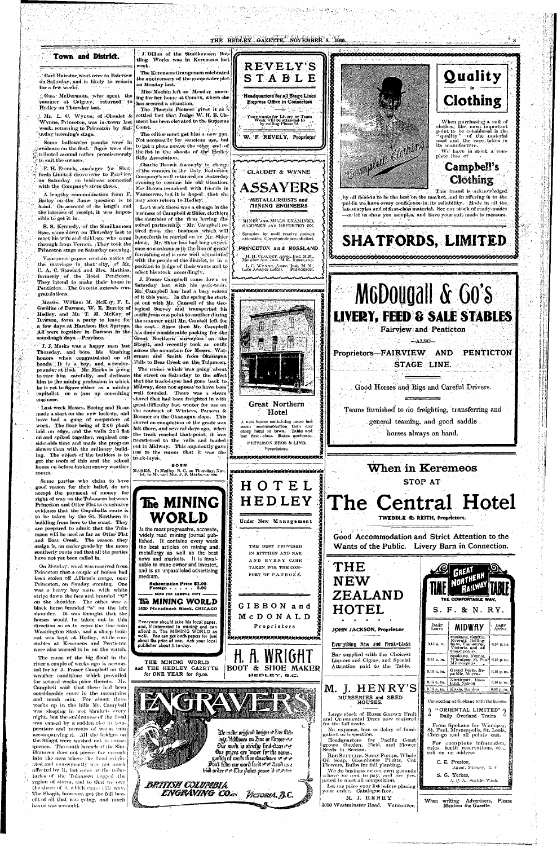#### THE HEDLEY GAZETTE. NOVEMBER 8. 1906. J. Gillan of the Similkameen Bot-Town and District. tling Works was in Keremeos last **REVELY'S** week. The Keremeos Orangemen celebrated Quality Carl Hairsine went over to Fairview STABLE the anniversary of the gunpowder ploton Saturday, and is likely to remain on Monday last. for a few weeks. Miss Machin left on Monday morn-Headquarters for all Stage Lines Gus. McDermott, who spent the Clothing ing for her home at Comox, where she Express Office in Connection summer at Calgary, returned to has secured a situation, Hedley on Thursday last. The Phoenix Pioneer gives it as a settled fact that Judge W. H. B. Cle-A. Mr. L. C. Wynne, of Claudet & Your wants for Livery or Team<br>Work will be attended to<br>by calling Phone 12 Wynne, Princeton, was in town last ment has been elevated to the Supreme When purchasing a suit of week. returning to Princeton by Sat. Court. clothes, the most important point to be considered is the.<br>"quality" and the material The editor must get him a new gun. [urday morning's stage.] W. F. REVELY, Proprietor **CONSTRUCTION** used and the care taken in Not necessarily for sanctum use, but Some hallowe'en pranks were in its manufacture. to get a place nearer the other end of revidence on the first. Signs were dis-We have in stock a comthe list in the shoots of the Hedley tributed around rather promiscuously. plete line of Rifle Association. to suit the owners. Charlie Brown formerly in charge Campbell's F. H. Erench, manager for Shatof the vanners in the Daly Reduction CLAUDET & WYNNE fords Limited drove over to Fairview Company's mill returned on Saturday Clothing on Saturday on business connected evening to resume his old situation. **ASSAYERS** with the Company's store there. Mrs Brown remained with friends in This brand is acknowledged Vancouver, but it is hoped that she A lengthy communication from F. by all dealers to be the best on the market, and in offering it to the may soon return to Hedley. **METALLURGISTS and** Bailey on the flume question is to public we have every confidence in its reliability. Made in all the MINING ENGINEERS hand.' On account of its length and Last week there was a change in the latest styles and of first-class material. See our stock of ready-mades the lateness of receipt, it was imposbusiness of Campbell & Shier, clothiers -or let us show you samples, and have your suit made to measure. sible to get it in. the members of the firm having dis-MINES AND MILLS EXAMINED. solved partnership. Mr. Campbell re-SAMPLED AND REPORTED ON. B. S. Kennedy, of the Similkameen tired from the business which will Star, came down on Thursday last to Samples by mall receive prompt henceforth be carried on by Mr. Shier **SHATFORDS, LIMITED** meet his wife and children, who came attention. Correspondence solicited. through from Vernon. They took the alone. Mr. Shier has had long experi-PRINCETON and ROSSLAND ence as a salesman in the line of gents' Princeton stage on Saturday morning. furnishing and is now well acquainted H. H. CLAUDET, Assoc. Inst. M.M., Member Am. Inst. M.E. ROSSLAND. Vancouver papers contain notice of with the people of the district, is in a the matriage in that city, of Mr. L. C. WYNNE, Assoc. Inst. M. M.,<br>Late Assayer LeRoi. PRINCETON. position to judge of their wants and to C. A. C. Stewart and Mrs. Mathias, select his stock accordingly. formerly of the Hotel Penticton. Manhar Namhain Nann Min J. Fraser Campbell came down on They intend to make their home in M6D0ugall & Go's Saturday last with his pack-train. Penticton. The Gazette extends con-Mr. Campbell has had a busy season | nannen assessere assessere an annen of it this year. In the spring he start-Messis. William M. McKay, F. L ed out with Mr. Camsell of the Geo-Gwillim of Dawson, W. E. Burritt of logical Survey and transported his **LIVERY, FEED & SALE STABLES** Hedley, and Mr. T. M. McKay of outfit from one point to another during Dawson, form a party to leave for the summer until Mr. Camsell left for a few days at Harrison Hot Springs. the east. Since then Mr. Campbell **Fairview and Penticton** All were together in Dawson in the has done considerable packing for the sourdough days.—Province. » Great Northern surveyors on the  $\triangle$ ALSO $-$ Skagit, and recently took an outfit J. J. Marks was a happy man last across the mountain for Messrs. Wat-PENTICTON Thursday. and bore his blushing Proprietors-FAIRVIEW AND erman and Smith from Okanagan honors when congratulated on all Falls to Bear Creek on the Tulameen. hands. It is a boy, and a twelve-STAGE LINE. pounder at that. Mr. Marks is going The rumor which was going about to rear him carefully, and dedicate the street on Saturday to the effect him to the mining profession in which that the track-layer had gone back to Good Horses and Rigs and Careful Drivers. Midway, does not appear to have been he is yet to figure either as a mining well founded. There was a steam capitalist or a jam up consulting shovel that had been freighted in with Great Northern great difficulty last winter for use on Last week Messrs. Boeing and Brass Teams furnished to do freighting, transferring and the contract of Winters, Parsons & Hotel made a start on the new lock-up, and Boomer on the Okanagan slope. This have had a gang of carpenters at general teaming, and good saddle A new house containing more bed shovel on completion of the grade was work. The floor being of 2x6 plank room accommodation than any left there, and several days ago, when laid on edge, and the walls 2x6 fiat other hotel in town. Table and horses always on hand. the track reached that point, it was bar first class. Rates moderate. on and spiked together, required considerable time and made the progress



gratulations.

engineer.

Some parties who claim to have good reason for their belief, do not accept the payment of money for right of way on the Tulameen between Princeton and Otter Flat as conclusive evidence that the Coquinalla route is to be taken by the Gt. Northern in building from here to the coast. They are prepared to admit that the Tulameen will be used as far as Otter Flat and Bear Creek. The reason they assign is, an easier grade by the more southerly route and that all the parties have not yet been called in.

On Monday, word was received from. Princeton that a couple of horses had been stolen off Allison's range, near Princeton, on Sunday evening. One was a heavy bay mare with white stripe down the face and branded "G" on the shoulder. The other was a black horse branded "a" on the left shoulder. It was thought that the horses would be taken out in this direction so as to cross the line into Washington State, and a sharp lookout was kept at Hedley, while constables at Keremeos and Penticton were also warned to be on the watch.

The cause of the big flood in the river a couple of weeks ago is accounted for by J. Fraser Campbell on the weather conditions which prevailed for several weeks prior thereto. Mr. Campbell said that there had been considerable snow in the mountains and much rain. For about three weeks up in the hills Mr. Campbell was sleeping in wet blankets every night, but the suddenness of the flood was caused by a sudden rise in temperature and torrents of warm min accompanying it. All the bridges on the Skagit were washed out in consequence. The south branch of the Similkameen does not pierce far enough into the area where the flood originated and consequently was not much affected by it, but some of the tributaries of the Tulancen (apped the region of storm, and to that we owe the share of it which canne this way. The Skagit, however, got the full benefit of all that was going, and much havoe was wrought.